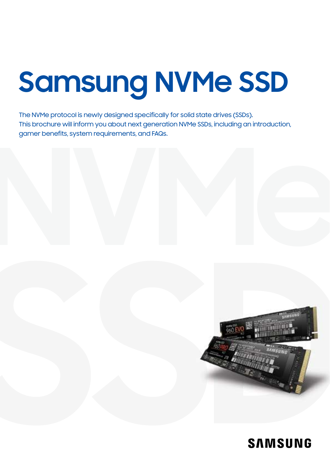# **Samsung NVMe SSD**

The NVMe protocol is newly designed specifically for solid state drives (SSDs). This brochure will inform you about next generation NVMe SSDs, including an introduction, gamer benefits, system requirements, and FAQs.



### **SAMSUNG**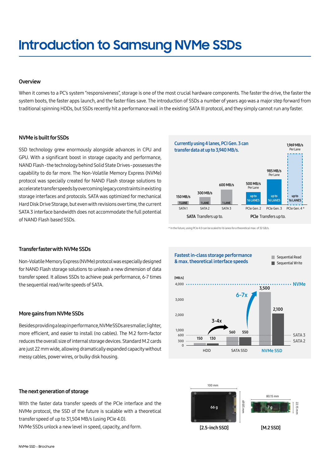# **Introduction to Samsung NVMe SSDs**

#### **Overview**

When it comes to a PC's system "responsiveness", storage is one of the most crucial hardware components. The faster the drive, the faster the system boots, the faster apps launch, and the faster files save. The introduction of SSDs a number of years ago was a major step forward from traditional spinning HDDs, but SSDs recently hit a performance wall in the existing SATA III protocol, and they simply cannot run any faster.

#### NVMe is built for SSDs

SSD technology grew enormously alongside advances in CPU and GPU. With a significant boost in storage capacity and performance, NAND Flash - the technology behind Solid State Drives - possesses the capability to do far more. The Non-Volatile Memory Express (NVMe) protocol was specially created for NAND Flash storage solutions to accelerate transfer speeds by overcoming legacy constraints in existing storage interfaces and protocols. SATA was optimized for mechanical Hard Disk Drive Storage, but even with revisions over time, the current SATA 3 interface bandwidth does not accommodate the full potential of NAND Flash based SSDs.



\* In the future, using PCIe 4.0 can be scaled to 16 lanes for a theoretical max. of 32 GB/s.



Non-Volatile Memory Express (NVMe) protocol was especially designed for NAND Flash storage solutions to unleash a new dimension of data transfer speed. It allows SSDs to achieve peak performance, 6-7 times the sequential read/write speeds of SATA.

#### More gains from NVMe SSDs

Besides providing a leap in performance, NVMe SSDs are smaller, lighter, more efficient, and easier to install (no cables). The M.2 form-factor reduces the overall size of internal storage devices. Standard M.2 cards are just 22 mm wide, allowing dramatically expanded capacity without messy cables, power wires, or bulky disk housing.

#### The next generation of storage

With the faster data transfer speeds of the PCIe interface and the NVMe protocol, the SSD of the future is scalable with a theoretical transfer speed of up to 31,504 MB/s (using PCIe 4.0).

NVMe SSDs unlock a new level in speed, capacity, and form.



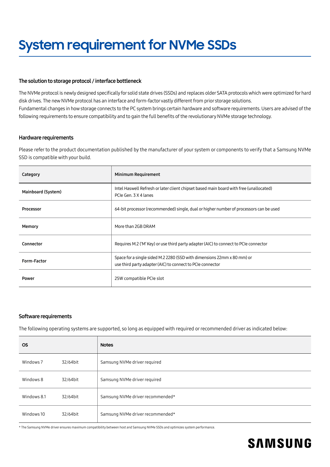#### The solution to storage protocol / interface bottleneck

The NVMe protocol is newly designed specifically for solid state drives (SSDs) and replaces older SATA protocols which were optimized for hard disk drives. The new NVMe protocol has an interface and form-factor vastly different from prior storage solutions. Fundamental changes in how storage connects to the PC system brings certain hardware and software requirements. Users are advised of the following requirements to ensure compatibility and to gain the full benefits of the revolutionary NVMe storage technology.

#### Hardware requirements

Please refer to the product documentation published by the manufacturer of your system or components to verify that a Samsung NVMe SSD is compatible with your build.

| Category           | Minimum Requirement                                                                                                                   |  |  |  |
|--------------------|---------------------------------------------------------------------------------------------------------------------------------------|--|--|--|
| Mainboard (System) | Intel Haswell Refresh or later client chipset based main board with free (unallocated)<br>PCIe Gen. 3 X 4 lanes                       |  |  |  |
| Processor          | 64-bit processor (recommended) single, dual or higher number of processors can be used                                                |  |  |  |
| Memory             | More than 2GB DRAM                                                                                                                    |  |  |  |
| Connector          | Requires M.2 ('M' Key) or use third party adapter (AIC) to connect to PCIe connector                                                  |  |  |  |
| Form-Factor        | Space for a single sided M.2 2280 (SSD with dimensions 22mm x 80 mm) or<br>use third party adapter (AIC) to connect to PCIe connector |  |  |  |
| Power              | 25W compatible PCIe slot                                                                                                              |  |  |  |

#### Software requirements

The following operating systems are supported, so long as equipped with required or recommended driver as indicated below:

| <b>OS</b>   |          | <b>Notes</b>                     |  |  |  |
|-------------|----------|----------------------------------|--|--|--|
| Windows 7   | 32/64bit | Samsung NVMe driver required     |  |  |  |
| Windows 8   | 32/64bit | Samsung NVMe driver required     |  |  |  |
| Windows 8.1 | 32/64bit | Samsung NVMe driver recommended* |  |  |  |
| Windows 10  | 32/64bit | Samsung NVMe driver recommended* |  |  |  |

\* The Samsung NVMe driver ensures maximum compatibility between host and Samsung NVMe SSDs and optimizes system performance.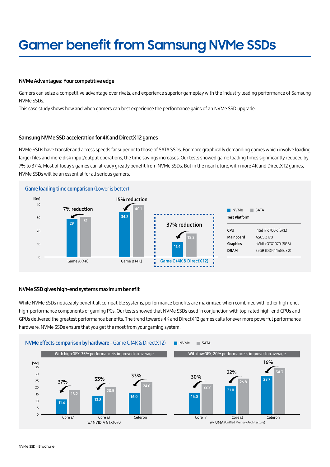# **Gamer benefit from Samsung NVMe SSDs**

#### NVMe Advantages: Your competitive edge

Gamers can seize a competitive advantage over rivals, and experience superior gameplay with the industry leading performance of Samsung NVMe SSDs.

This case study shows how and when gamers can best experience the performance gains of an NVMe SSD upgrade.

#### Samsung NVMe SSD acceleration for 4K and DirectX 12 games

NVMe SSDs have transfer and access speeds far superior to those of SATA SSDs. For more graphically demanding games which involve loading larger files and more disk input/output operations, the time savings increases. Our tests showed game loading times significantly reduced by 7% to 37%. Most of today's games can already greatly benefit from NVMe SSDs. But in the near future, with more 4K and DirectX 12 games, NVMe SSDs will be an essential for all serious gamers.



#### NVMe SSD gives high-end systems maximum benefit

While NVMe SSDs noticeably benefit all compatible systems, performance benefits are maximized when combined with other high-end, high-performance components of gaming PCs. Our tests showed that NVMe SSDs used in conjunction with top-rated high-end CPUs and GPUs delivered the greatest performance benefits. The trend towards 4K and DirectX 12 games calls for ever more powerful performance hardware. NVMe SSDs ensure that you get the most from your gaming system.

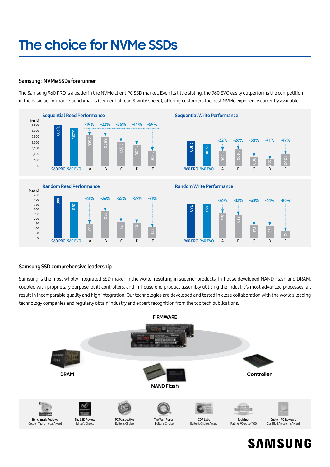# **The choice for NVMe SSDs**

#### Samsung : NVMe SSDs forerunner

The Samsung 960 PRO is a leader in the NVMe client PC SSD market. Even its little sibling, the 960 EVO easily outperforms the competition in the basic performance benchmarks (sequential read & write speed), offering customers the best NVMe experience currently available.



#### Samsung SSD comprehensive leadership

Samsung is the most wholly integrated SSD maker in the world, resulting in superior products. In-house developed NAND Flash and DRAM, coupled with proprietary purpose-built controllers, and in-house end product assembly utilizing the industry's most advanced processes, all result in incomparable quality and high integration. Our technologies are developed and tested in close collaboration with the world's leading technology companies and regularly obtain industry and expert recognition from the top tech publications.



### **SAMSUNG**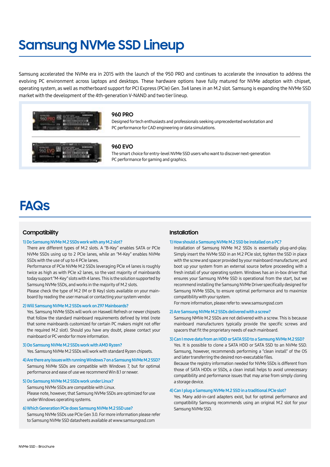## **Samsung NVMe SSD Lineup**

Samsung accelerated the NVMe era in 2015 with the launch of the 950 PRO and continues to accelerate the innovation to address the evolving PC environment across laptops and desktops. These hardware options have fully matured for NVMe adoption with chipset, operating system, as well as motherboard support for PCI Express (PCIe) Gen. 3x4 lanes in an M.2 slot. Samsung is expanding the NVMe SSD market with the development of the 4th-generation V-NAND and two tier lineup.



#### **960 PRO**

Designed for tech enthusiasts and professionals seeking unprecedented workstation and PC performance for CAD engineering or data simulations.

#### **960 EVO**

The smart choice for entry-level NVMe SSD users who want to discover next-generation PC performance for gaming and graphics.

### **FAQs**

#### **Compatibility**

#### 1) Do Samsung NVMe M.2 SSDs work with any M.2 slot?

There are different types of M.2 slots. A "B-Key" enables SATA or PCIe NVMe SSDs using up to 2 PCIe lanes, while an "M-Key" enables NVMe SSDs with the use of up to 4 PCIe lanes.

Performance of PCIe NVMe M.2 SSDs leveraging PCIe x4 lanes is roughly twice as high as with PCIe x2 lanes, so the vast majority of mainboards today support "M-Key" slots with 4 lanes. This is the solution supported by Samsung NVMe SSDs, and works in the majority of M.2 slots.

Please check the type of M.2 (M or B Key) slots available on your mainboard by reading the user manual or contacting your system vendor.

#### 2) Will Samsung NVMe M.2 SSDs work on Z97 Mainboards?

Yes. Samsung NVMe SSDs will work on Haswell Refresh or newer chipsets that follow the standard mainboard requirements defined by Intel (note that some mainboards customized for certain PC makers might not offer the required M.2 slot). Should you have any doubt, please contact your mainboard or PC vendor for more information.

#### 3) Do Samsung NVMe M.2 SSDs work with AMD Ryzen?

Yes. Samsung NVMe M.2 SSDs will work with standard Ryzen chipsets.

4) Are there any issues with running Windows 7 on a Samsung NVMe M.2 SSD? Samsung NVMe SSDs are compatible with Windows 7, but for optimal performance and ease of use we recommend Win 8.1 or newer.

#### 5) Do Samsung NVMe M.2 SSDs work under Linux?

Samsung NVMe SSDs are compatible with Linux.

Please note, however, that Samsung NVMe SSDs are optimized for use under Windows operating systems.

#### 6) Which Generation PCIe does Samsung NVMe M.2 SSD use?

Samsung NVMe SSDs use PCIe Gen 3.0. For more information please refer to Samsung NVMe SSD datasheets available at www.samsungssd.com

#### **Installation**

#### 1) How should a Samsung NVMe M.2 SSD be installed on a PC?

Installation of Samsung NVMe M.2 SSDs is essentially plug-and-play. Simply insert the NVMe SSD in an M.2 PCIe slot, tighten the SSD in place with the screw and spacer provided by your mainboard manufacturer, and boot up your system from an external source before proceeding with a fresh install of your operating system. Windows has an in-box driver that ensures your Samsung NVMe SSD is operational from the start, but we recommend installing the Samsung NVMe Driver specifically designed for Samsung NVMe SSDs, to ensure optimal performance and to maximize compatibility with your system.

For more information, please refer to: www.samsungssd.com

#### 2) Are Samsung NVMe M.2 SSDs delivered with a screw?

Samsung NMVe M.2 SSDs are not delivered with a screw. This is because mainboard manufacturers typically provide the specific screws and spacers that fit the proprietary needs of each mainboard.

#### 3) Can I move data from an HDD or SATA SSD to a Samsung NVMe M.2 SSD?

Yes. It is possible to clone a SATA HDD or SATA SSD to an NVMe SSD. Samsung, however, recommends performing a "clean install" of the OS and later transferring the desired non-executable files.

Because the registry information needed for NVMe SSDs is different from those of SATA HDDs or SSDs, a clean install helps to avoid unnecessary compatibility and performance issues that may arise from simply cloning a storage device.

#### 4) Can I plug a Samsung NVMe M.2 SSD in a traditional PCIe slot?

Yes. Many add-in-card adapters exist, but for optimal performance and compatibility Samsung recommends using an original M.2 slot for your Samsung NVMe SSD.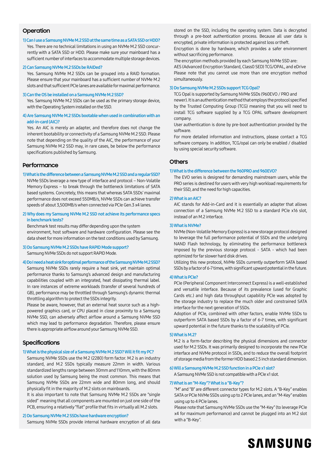#### **Operation**

#### 1) Can I use a Samsung NVMe M.2 SSD at the same time as a SATA SSD or HDD?

Yes. There are no technical limitations in using an NVMe M.2 SSD concurrently with a SATA SSD or HDD. Please make sure your mainboard has a sufficient number of interfaces to accommodate multiple storage devices.

#### 2) Can Samsung NVMe M.2 SSDs be RAIDed?

Yes. Samsung NVMe M.2 SSDs can be grouped into a RAID formation. Please ensure that your mainboard has a sufficient number of NVMe M.2 slots and that sufficient PCIe lanes are available for maximal performance.

#### 3) Can the OS be installed on a Samsung NVMe M.2 SSD?

Yes. Samsung NVMe M.2 SSDs can be used as the primary storage device, with the Operating System installed on the SSD.

#### 4) Are Samsung NVMe M.2 SSDs bootable when used in combination with an add-in-card (AIC)?

Yes. An AIC is merely an adapter, and therefore does not change the inherent bootability or connectivity of a Samsung NVMe M.2 SSD. Please note that depending on the quality of the AIC, the performance of your Samsung NVMe M.2 SSD may, in rare cases, be below the performance specifications published by Samsung.

#### **Performance**

#### 1) What is the difference between a Samsung NVMe M.2 SSD and a regular SSD?

NVMe SSDs leverage a new type of interface and protocol – Non-Volatile Memory Express – to break through the bottleneck limitations of SATA based systems. Concretely, this means that whereas SATA SSDs' maximal performance does not exceed 550MB/s, NVMe SSDs can achieve transfer speeds of about 3,500MB/s when connected via PCIe Gen.3 x4 lanes.

#### 2) Why does my Samsung NVMe M.2 SSD not achieve its performance specs in benchmark tests?

Benchmark test results may differ depending upon the system environment, host software and hardware configuration. Please see the data sheet for more information on the test conditions used by Samsung.

#### 3) Do Samsung NVMe M.2 SSDs have RAPID Mode support? Samsung NVMe SSDs do not support RAPID Mode.

#### 4) Do I need a heat sink for optimal performance of the Samsung NVMe M.2 SSD?

Samsung NVMe SSDs rarely require a heat sink, yet maintain optimal performance thanks to Samsung's advanced design and manufacturing capabilities coupled with an integrated, heat dissipating thermal label. In rare instances of extreme workloads (transfer of several hundreds of GB), performance may be throttled through Samsung's dynamic thermal throttling algorithm to protect the SSDs integrity.

Please be aware, however, that an external heat source such as a highpowered graphics card, or CPU placed in close proximity to a Samsung NVMe SSD, can adversely affect airflow around a Samsung NVMe SSD which may lead to performance degradation. Therefore, please ensure there is appropriate airflow around your Samsung NVMe SSD.

#### **Specifications**

#### 1) What is the physical size of a Samsung NVMe M.2 SSD? Will it fit my PC?

Samsung NVMe SSDs use the M.2 (2280) form factor. M.2 is an industry standard, and M.2 SSDs typically measure 22mm in width. Various standardized lengths range between 30mm and 110mm, with the 80mm solution used by Samsung being the most common. This means that Samsung NVMe SSDs are 22mm wide and 80mm long, and should physically fit in the majority of M.2 slots on mainboards.

It is also important to note that Samsung NVMe M.2 SSDs are "single sided" meaning that all components are mounted on just one side of the PCB, ensuring a relatively "flat" profile that fits in virtually all M.2 slots.

#### 2) Do Samsung NVMe M.2 SSDs have hardware encryption?

Samsung NVMe SSDs provide internal hardware encryption of all data

stored on the SSD, including the operating system. Data is decrypted through a pre-boot authentication process. Because all user data is encrypted, private information is protected against loss or theft.

Encryption is done by hardware, which provides a safer environment without sacrificing performance.

The encryption methods provided by each Samsung NVMe SSD are: AES (Advanced Encryption Standard, Class0 SED) TCG/OPAL, and eDrive Please note that you cannot use more than one encryption method simultaneously.

#### 3) Do Samsung NVMe M.2 SSDs support TCG Opal?

TCG Opal is supported by Samsung NVMe SSDs (960EVO / PRO and newer). It is an authentication method that employs the protocol specified by the Trusted Computing Group (TCG) meaning that you will need to install TCG software supplied by a TCG OPAL software development company.

User authentication is done by pre-boot authentication provided by the software.

For more detailed information and instructions, please contact a TCG software company. In addition, TCG/opal can only be enabled / disabled by using special security software.

#### **Others**

#### 1) What is the difference between the 960PRO and 960EVO?

The EVO series is designed for demanding mainstream users, while the PRO series is destined for users with very high workload requirements for their SSD, and the need for high capacities.

#### 2) What is an AIC?

AIC stands for Add-in-Card and it is essentially an adapter that allows connection of a Samsung NVMe M.2 SSD to a standard PCIe x16 slot, instead of an M.2 interface.

#### 3) What is NVMe?

NVMe (Non-Volatile Memory Express) is a new storage protocol designed to leverage the full performance potential of SSDs and the underlying NAND Flash technology, by eliminating the performance bottleneck imposed by the previous storage protocol - SATA - which had been optimized for far slower hard disk drives.

Utilizing this new protocol, NVMe SSDs currently outperform SATA based SSDs by a factor of 6-7 times, with significant upward potential in the future.

#### 4) What is PCIe?

PCIe (Peripheral Component Interconnect Express) is a well-established and versatile interface. Because of its prevalence (used for Graphic Cards etc.) and high data throughput capability PCIe was adopted by the storage industry to replace the much older and constrained SATA interface for the next generation of SSDs.

Adoption of PCIe, combined with other factors, enable NVMe SSDs to outperform SATA based SSDs by a factor of 6-7 times, with significant upward potential in the future thanks to the scalability of PCIe.

#### 5) What is M.2?

M.2 is a form-factor describing the physical dimensions and connector used for M.2 SSDs. It was primarily designed to incorporate the new PCIe interface and NVMe protocol in SSDs, and to reduce the overall footprint of storage media from the former HDD based 2.5 inch standard dimension.

#### 6) Will a Samsung NVMe M.2 SSD function in a PCIe x1 slot?

A Samsung NVMe SSD is not compatible with a PCIe x1 slot.

#### 7) What is an "M-Key"? What is a "B-Key"?

"M" and "B" are different connector types for M.2 slots. A "B-Key" enables SATA or PCIe NVMe SSDs using up to 2 PCIe lanes, and an "M-Key" enables using up to 4 PCIe lanes.

Please note that Samsung NVMe SSDs use the "M-Key" (to leverage PCIe x4 for maximum performance) and cannot be plugged into an M.2 slot with a "B-Key".